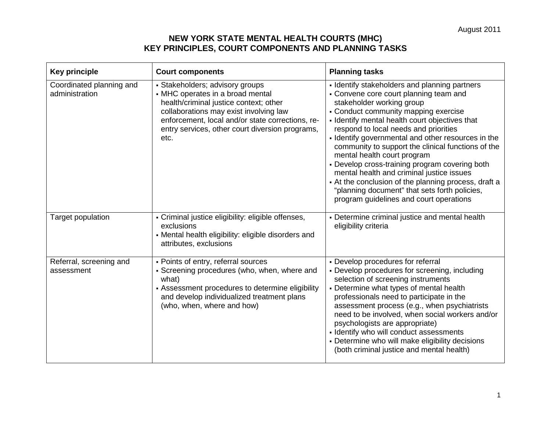| <b>Key principle</b>                       | <b>Court components</b>                                                                                                                                                                                                                                                | <b>Planning tasks</b>                                                                                                                                                                                                                                                                                                                                                                                                                                                                                                                                                                                                                                 |
|--------------------------------------------|------------------------------------------------------------------------------------------------------------------------------------------------------------------------------------------------------------------------------------------------------------------------|-------------------------------------------------------------------------------------------------------------------------------------------------------------------------------------------------------------------------------------------------------------------------------------------------------------------------------------------------------------------------------------------------------------------------------------------------------------------------------------------------------------------------------------------------------------------------------------------------------------------------------------------------------|
| Coordinated planning and<br>administration | • Stakeholders; advisory groups<br>• MHC operates in a broad mental<br>health/criminal justice context; other<br>collaborations may exist involving law<br>enforcement, local and/or state corrections, re-<br>entry services, other court diversion programs,<br>etc. | - Identify stakeholders and planning partners<br>• Convene core court planning team and<br>stakeholder working group<br>• Conduct community mapping exercise<br>- Identify mental health court objectives that<br>respond to local needs and priorities<br>- Identify governmental and other resources in the<br>community to support the clinical functions of the<br>mental health court program<br>- Develop cross-training program covering both<br>mental health and criminal justice issues<br>- At the conclusion of the planning process, draft a<br>"planning document" that sets forth policies,<br>program guidelines and court operations |
| Target population                          | - Criminal justice eligibility: eligible offenses,<br>exclusions<br>• Mental health eligibility: eligible disorders and<br>attributes, exclusions                                                                                                                      | • Determine criminal justice and mental health<br>eligibility criteria                                                                                                                                                                                                                                                                                                                                                                                                                                                                                                                                                                                |
| Referral, screening and<br>assessment      | - Points of entry, referral sources<br>• Screening procedures (who, when, where and<br>what)<br>- Assessment procedures to determine eligibility<br>and develop individualized treatment plans<br>(who, when, where and how)                                           | - Develop procedures for referral<br>• Develop procedures for screening, including<br>selection of screening instruments<br>- Determine what types of mental health<br>professionals need to participate in the<br>assessment process (e.g., when psychiatrists<br>need to be involved, when social workers and/or<br>psychologists are appropriate)<br>- Identify who will conduct assessments<br>- Determine who will make eligibility decisions<br>(both criminal justice and mental health)                                                                                                                                                       |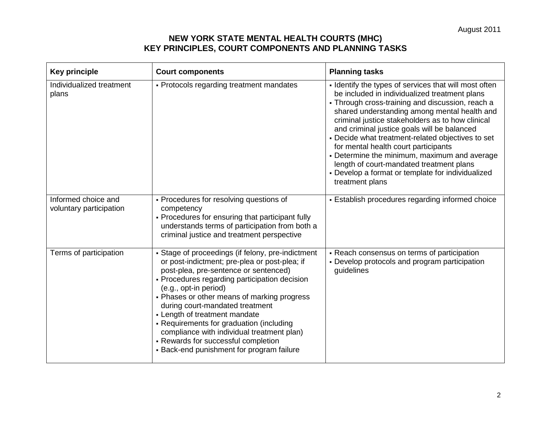| <b>Key principle</b>                           | <b>Court components</b>                                                                                                                                                                                                                                                                                                                                                                                                                                                                                                | <b>Planning tasks</b>                                                                                                                                                                                                                                                                                                                                                                                                                                                                                                                                                          |
|------------------------------------------------|------------------------------------------------------------------------------------------------------------------------------------------------------------------------------------------------------------------------------------------------------------------------------------------------------------------------------------------------------------------------------------------------------------------------------------------------------------------------------------------------------------------------|--------------------------------------------------------------------------------------------------------------------------------------------------------------------------------------------------------------------------------------------------------------------------------------------------------------------------------------------------------------------------------------------------------------------------------------------------------------------------------------------------------------------------------------------------------------------------------|
| Individualized treatment<br>plans              | - Protocols regarding treatment mandates                                                                                                                                                                                                                                                                                                                                                                                                                                                                               | - Identify the types of services that will most often<br>be included in individualized treatment plans<br>• Through cross-training and discussion, reach a<br>shared understanding among mental health and<br>criminal justice stakeholders as to how clinical<br>and criminal justice goals will be balanced<br>- Decide what treatment-related objectives to set<br>for mental health court participants<br>- Determine the minimum, maximum and average<br>length of court-mandated treatment plans<br>- Develop a format or template for individualized<br>treatment plans |
| Informed choice and<br>voluntary participation | - Procedures for resolving questions of<br>competency<br>- Procedures for ensuring that participant fully<br>understands terms of participation from both a<br>criminal justice and treatment perspective                                                                                                                                                                                                                                                                                                              | - Establish procedures regarding informed choice                                                                                                                                                                                                                                                                                                                                                                                                                                                                                                                               |
| Terms of participation                         | - Stage of proceedings (if felony, pre-indictment<br>or post-indictment; pre-plea or post-plea; if<br>post-plea, pre-sentence or sentenced)<br>- Procedures regarding participation decision<br>(e.g., opt-in period)<br>- Phases or other means of marking progress<br>during court-mandated treatment<br>- Length of treatment mandate<br>- Requirements for graduation (including<br>compliance with individual treatment plan)<br>- Rewards for successful completion<br>- Back-end punishment for program failure | - Reach consensus on terms of participation<br>- Develop protocols and program participation<br>guidelines                                                                                                                                                                                                                                                                                                                                                                                                                                                                     |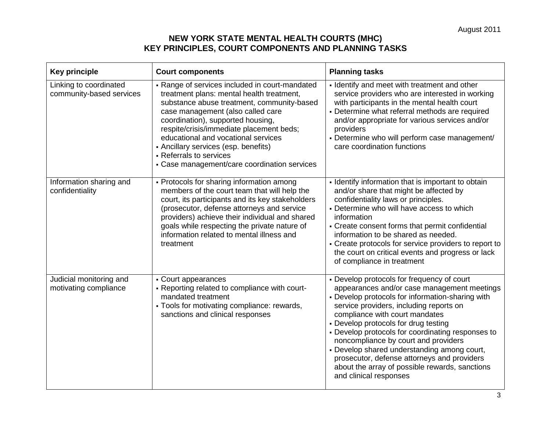| <b>Key principle</b>                               | <b>Court components</b>                                                                                                                                                                                                                                                                                                                                                                                                   | <b>Planning tasks</b>                                                                                                                                                                                                                                                                                                                                                                                                                                                                                                                     |
|----------------------------------------------------|---------------------------------------------------------------------------------------------------------------------------------------------------------------------------------------------------------------------------------------------------------------------------------------------------------------------------------------------------------------------------------------------------------------------------|-------------------------------------------------------------------------------------------------------------------------------------------------------------------------------------------------------------------------------------------------------------------------------------------------------------------------------------------------------------------------------------------------------------------------------------------------------------------------------------------------------------------------------------------|
| Linking to coordinated<br>community-based services | - Range of services included in court-mandated<br>treatment plans: mental health treatment,<br>substance abuse treatment, community-based<br>case management (also called care<br>coordination), supported housing,<br>respite/crisis/immediate placement beds;<br>educational and vocational services<br>• Ancillary services (esp. benefits)<br>- Referrals to services<br>• Case management/care coordination services | - Identify and meet with treatment and other<br>service providers who are interested in working<br>with participants in the mental health court<br>- Determine what referral methods are required<br>and/or appropriate for various services and/or<br>providers<br>- Determine who will perform case management/<br>care coordination functions                                                                                                                                                                                          |
| Information sharing and<br>confidentiality         | - Protocols for sharing information among<br>members of the court team that will help the<br>court, its participants and its key stakeholders<br>(prosecutor, defense attorneys and service<br>providers) achieve their individual and shared<br>goals while respecting the private nature of<br>information related to mental illness and<br>treatment                                                                   | - Identify information that is important to obtain<br>and/or share that might be affected by<br>confidentiality laws or principles.<br>- Determine who will have access to which<br>information<br>- Create consent forms that permit confidential<br>information to be shared as needed.<br>- Create protocols for service providers to report to<br>the court on critical events and progress or lack<br>of compliance in treatment                                                                                                     |
| Judicial monitoring and<br>motivating compliance   | - Court appearances<br>- Reporting related to compliance with court-<br>mandated treatment<br>- Tools for motivating compliance: rewards,<br>sanctions and clinical responses                                                                                                                                                                                                                                             | - Develop protocols for frequency of court<br>appearances and/or case management meetings<br>- Develop protocols for information-sharing with<br>service providers, including reports on<br>compliance with court mandates<br>- Develop protocols for drug testing<br>- Develop protocols for coordinating responses to<br>noncompliance by court and providers<br>- Develop shared understanding among court,<br>prosecutor, defense attorneys and providers<br>about the array of possible rewards, sanctions<br>and clinical responses |